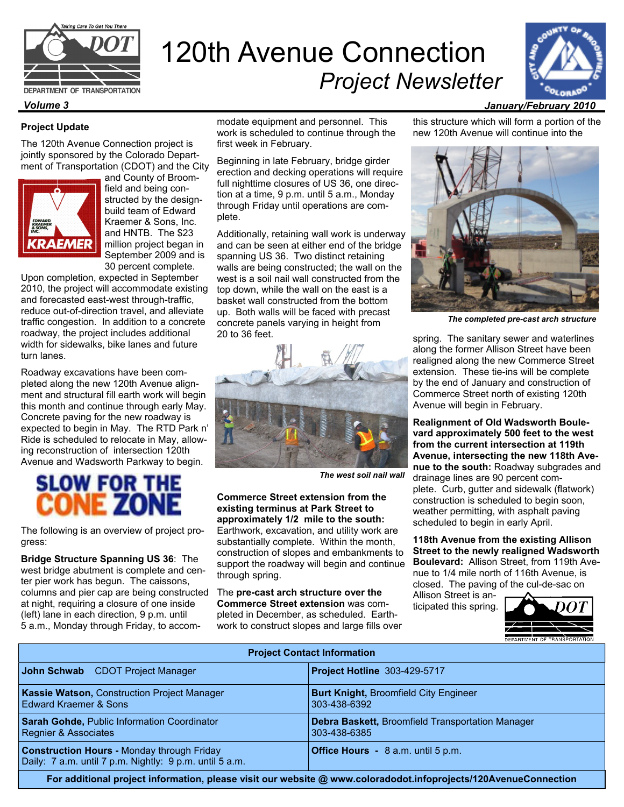

## DEPARTMENT OF TRANSPORTATION

## **Project Update**

The 120th Avenue Connection project is jointly sponsored by the Colorado Department of Transportation (CDOT) and the City



and County of Broomfield and being constructed by the designbuild team of Edward Kraemer & Sons, Inc. and HNTB. The \$23 million project began in September 2009 and is 30 percent complete.

Upon completion, expected in September 2010, the project will accommodate existing and forecasted east-west through-traffic, reduce out-of-direction travel, and alleviate traffic congestion. In addition to a concrete roadway, the project includes additional width for sidewalks, bike lanes and future turn lanes.

Roadway excavations have been completed along the new 120th Avenue alignment and structural fill earth work will begin this month and continue through early May. Concrete paving for the new roadway is expected to begin in May. The RTD Park n' Ride is scheduled to relocate in May, allowing reconstruction of intersection 120th Avenue and Wadsworth Parkway to begin.

## **SLOW FOR THE CONE**

The following is an overview of project progress:

**Bridge Structure Spanning US 36**: The west bridge abutment is complete and center pier work has begun. The caissons, columns and pier cap are being constructed at night, requiring a closure of one inside (left) lane in each direction, 9 p.m. until 5 a.m., Monday through Friday, to accommodate equipment and personnel. This work is scheduled to continue through the first week in February.

120th Avenue Connection

*Project Newsletter* 

Beginning in late February, bridge girder erection and decking operations will require full nighttime closures of US 36, one direction at a time, 9 p.m. until 5 a.m., Monday through Friday until operations are complete.

Additionally, retaining wall work is underway and can be seen at either end of the bridge spanning US 36. Two distinct retaining walls are being constructed; the wall on the west is a soil nail wall constructed from the top down, while the wall on the east is a basket wall constructed from the bottom up. Both walls will be faced with precast concrete panels varying in height from 20 to 36 feet.



 *The west soil nail wall*

**Commerce Street extension from the existing terminus at Park Street to approximately 1/2 mile to the south:** Earthwork, excavation, and utility work are substantially complete. Within the month, construction of slopes and embankments to support the roadway will begin and continue through spring.

The **pre-cast arch structure over the Commerce Street extension** was completed in December, as scheduled. Earthwork to construct slopes and large fills over this structure which will form a portion of the new 120th Avenue will continue into the



*The completed pre-cast arch structure* 

spring. The sanitary sewer and waterlines along the former Allison Street have been realigned along the new Commerce Street extension. These tie-ins will be complete by the end of January and construction of Commerce Street north of existing 120th Avenue will begin in February.

**Realignment of Old Wadsworth Boulevard approximately 500 feet to the west from the current intersection at 119th Avenue, intersecting the new 118th Avenue to the south:** Roadway subgrades and drainage lines are 90 percent complete. Curb, gutter and sidewalk (flatwork) construction is scheduled to begin soon, weather permitting, with asphalt paving scheduled to begin in early April.

**118th Avenue from the existing Allison Street to the newly realigned Wadsworth Boulevard:** Allison Street, from 119th Avenue to 1/4 mile north of 116th Avenue, is closed. The paving of the cul-de-sac on

Allison Street is anticipated this spring.



| <b>Project Contact Information</b>                                                                           |                                                                  |
|--------------------------------------------------------------------------------------------------------------|------------------------------------------------------------------|
| John Schwab CDOT Project Manager                                                                             | <b>Project Hotline 303-429-5717</b>                              |
| Kassie Watson, Construction Project Manager<br>Edward Kraemer & Sons                                         | <b>Burt Knight, Broomfield City Engineer</b><br>303-438-6392     |
| Sarah Gohde, Public Information Coordinator<br><b>Regnier &amp; Associates</b>                               | Debra Baskett, Broomfield Transportation Manager<br>303-438-6385 |
| <b>Construction Hours - Monday through Friday</b><br>Daily: 7 a.m. until 7 p.m. Nightly: 9 p.m. until 5 a.m. | Office Hours - 8 a.m. until 5 p.m.                               |

**For additional project information, please visit our website @ www.coloradodot.infoprojects/120AvenueConnection**